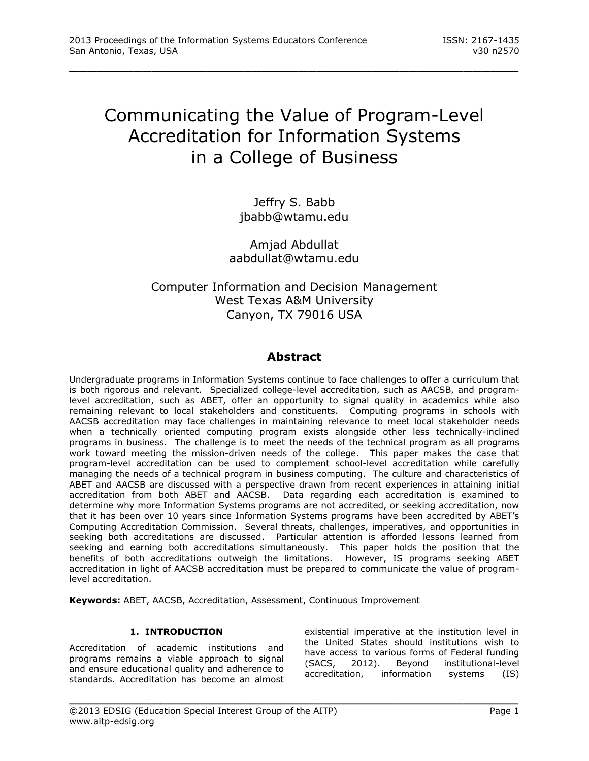# Communicating the Value of Program-Level Accreditation for Information Systems in a College of Business

\_\_\_\_\_\_\_\_\_\_\_\_\_\_\_\_\_\_\_\_\_\_\_\_\_\_\_\_\_\_\_\_\_\_\_\_\_\_\_\_\_\_\_\_\_\_\_\_\_

Jeffry S. Babb [jbabb@wtamu.edu](mailto:jbabb@wtamu.edu)

Amjad Abdullat [aabdullat@wtamu.edu](mailto:aabdullat@wtamu.edu)

# Computer Information and Decision Management West Texas A&M University Canyon, TX 79016 USA

# **Abstract**

Undergraduate programs in Information Systems continue to face challenges to offer a curriculum that is both rigorous and relevant. Specialized college-level accreditation, such as AACSB, and programlevel accreditation, such as ABET, offer an opportunity to signal quality in academics while also remaining relevant to local stakeholders and constituents. Computing programs in schools with AACSB accreditation may face challenges in maintaining relevance to meet local stakeholder needs when a technically oriented computing program exists alongside other less technically-inclined programs in business. The challenge is to meet the needs of the technical program as all programs work toward meeting the mission-driven needs of the college. This paper makes the case that program-level accreditation can be used to complement school-level accreditation while carefully managing the needs of a technical program in business computing. The culture and characteristics of ABET and AACSB are discussed with a perspective drawn from recent experiences in attaining initial accreditation from both ABET and AACSB. Data regarding each accreditation is examined to determine why more Information Systems programs are not accredited, or seeking accreditation, now that it has been over 10 years since Information Systems programs have been accredited by ABET's Computing Accreditation Commission. Several threats, challenges, imperatives, and opportunities in seeking both accreditations are discussed. Particular attention is afforded lessons learned from seeking and earning both accreditations simultaneously. This paper holds the position that the benefits of both accreditations outweigh the limitations. However, IS programs seeking ABET accreditation in light of AACSB accreditation must be prepared to communicate the value of programlevel accreditation.

\_\_\_\_\_\_\_\_\_\_\_\_\_\_\_\_\_\_\_\_\_\_\_\_\_\_\_\_\_\_\_\_\_\_\_\_\_\_\_\_\_\_\_\_\_\_\_\_\_

**Keywords:** ABET, AACSB, Accreditation, Assessment, Continuous Improvement

# **1. INTRODUCTION**

Accreditation of academic institutions and programs remains a viable approach to signal and ensure educational quality and adherence to standards. Accreditation has become an almost

existential imperative at the institution level in the United States should institutions wish to have access to various forms of Federal funding (SACS, 2012). Beyond institutional-level accreditation, information systems (IS)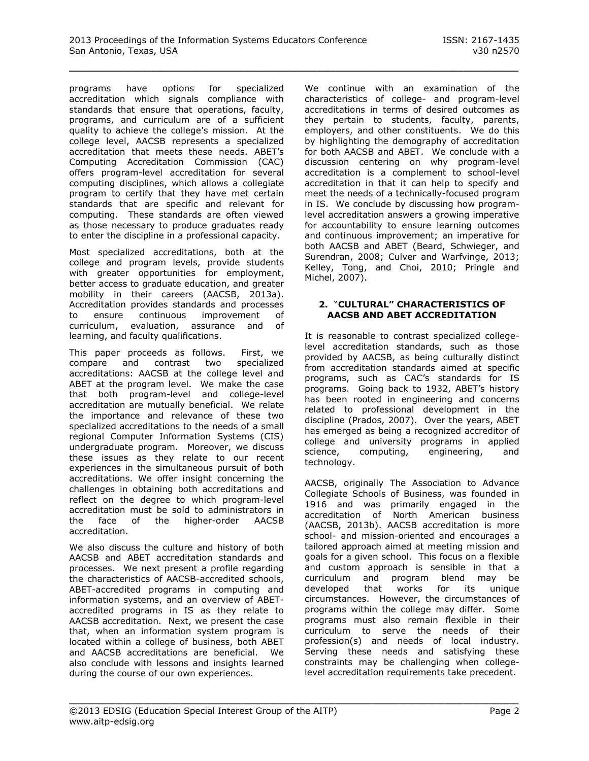programs have options for specialized accreditation which signals compliance with standards that ensure that operations, faculty, programs, and curriculum are of a sufficient quality to achieve the college's mission. At the college level, AACSB represents a specialized accreditation that meets these needs. ABET's Computing Accreditation Commission (CAC) offers program-level accreditation for several computing disciplines, which allows a collegiate program to certify that they have met certain standards that are specific and relevant for computing. These standards are often viewed as those necessary to produce graduates ready to enter the discipline in a professional capacity.

Most specialized accreditations, both at the college and program levels, provide students with greater opportunities for employment, better access to graduate education, and greater mobility in their careers (AACSB, 2013a). Accreditation provides standards and processes to ensure continuous improvement of curriculum, evaluation, assurance and of learning, and faculty qualifications.

This paper proceeds as follows. First, we compare and contrast two specialized accreditations: AACSB at the college level and ABET at the program level. We make the case that both program-level and college-level accreditation are mutually beneficial. We relate the importance and relevance of these two specialized accreditations to the needs of a small regional Computer Information Systems (CIS) undergraduate program. Moreover, we discuss these issues as they relate to our recent experiences in the simultaneous pursuit of both accreditations. We offer insight concerning the challenges in obtaining both accreditations and reflect on the degree to which program-level accreditation must be sold to administrators in the face of the higher-order AACSB accreditation.

We also discuss the culture and history of both AACSB and ABET accreditation standards and processes. We next present a profile regarding the characteristics of AACSB-accredited schools, ABET-accredited programs in computing and information systems, and an overview of ABETaccredited programs in IS as they relate to AACSB accreditation. Next, we present the case that, when an information system program is located within a college of business, both ABET and AACSB accreditations are beneficial. We also conclude with lessons and insights learned during the course of our own experiences.

We continue with an examination of the characteristics of college- and program-level accreditations in terms of desired outcomes as they pertain to students, faculty, parents, employers, and other constituents. We do this by highlighting the demography of accreditation for both AACSB and ABET. We conclude with a discussion centering on why program-level accreditation is a complement to school-level accreditation in that it can help to specify and meet the needs of a technically-focused program in IS. We conclude by discussing how programlevel accreditation answers a growing imperative for accountability to ensure learning outcomes and continuous improvement; an imperative for both AACSB and ABET (Beard, Schwieger, and Surendran, 2008; Culver and Warfvinge, 2013; Kelley, Tong, and Choi, 2010; Pringle and Michel, 2007).

#### **2.** "**CULTURAL" CHARACTERISTICS OF AACSB AND ABET ACCREDITATION**

It is reasonable to contrast specialized collegelevel accreditation standards, such as those provided by AACSB, as being culturally distinct from accreditation standards aimed at specific programs, such as CAC's standards for IS programs. Going back to 1932, ABET's history has been rooted in engineering and concerns related to professional development in the discipline (Prados, 2007). Over the years, ABET has emerged as being a recognized accreditor of college and university programs in applied science, computing, engineering, and technology.

AACSB, originally The Association to Advance Collegiate Schools of Business, was founded in 1916 and was primarily engaged in the accreditation of North American business (AACSB, 2013b). AACSB accreditation is more school- and mission-oriented and encourages a tailored approach aimed at meeting mission and goals for a given school. This focus on a flexible and custom approach is sensible in that a curriculum and program blend may be developed that works for its unique circumstances. However, the circumstances of programs within the college may differ. Some programs must also remain flexible in their curriculum to serve the needs of their profession(s) and needs of local industry. Serving these needs and satisfying these constraints may be challenging when collegelevel accreditation requirements take precedent.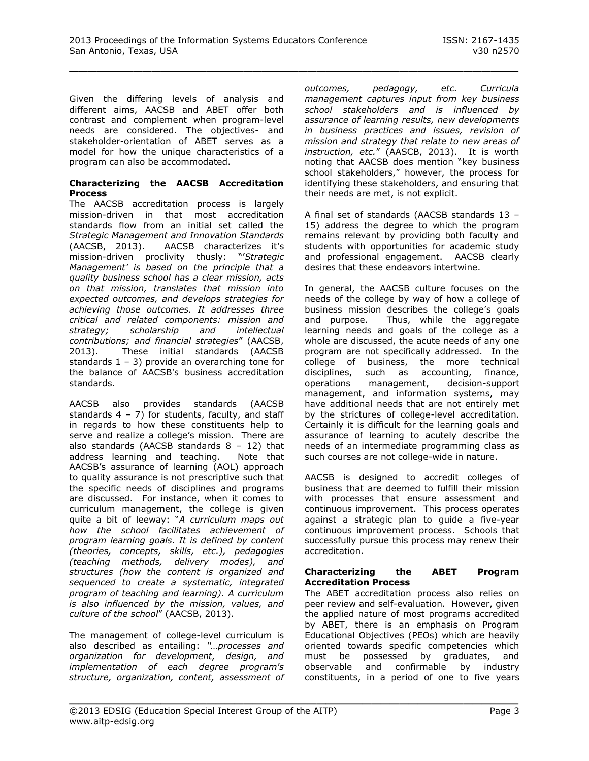Given the differing levels of analysis and different aims, AACSB and ABET offer both contrast and complement when program-level needs are considered. The objectives- and stakeholder-orientation of ABET serves as a model for how the unique characteristics of a program can also be accommodated.

#### **Characterizing the AACSB Accreditation Process**

The AACSB accreditation process is largely mission-driven in that most accreditation standards flow from an initial set called the *Strategic Management and Innovation Standards* (AACSB, 2013). AACSB characterizes it's mission-driven proclivity thusly: "'*Strategic Management' is based on the principle that a quality business school has a clear mission, acts on that mission, translates that mission into expected outcomes, and develops strategies for achieving those outcomes. It addresses three critical and related components: mission and strategy; scholarship and intellectual contributions; and financial strategies*" (AACSB, 2013). These initial standards (AACSB standards  $1 - 3$ ) provide an overarching tone for the balance of AACSB's business accreditation standards.

AACSB also provides standards (AACSB standards  $4 - 7$ ) for students, faculty, and staff in regards to how these constituents help to serve and realize a college's mission. There are also standards (AACSB standards  $8 - 12$ ) that address learning and teaching. Note that AACSB's assurance of learning (AOL) approach to quality assurance is not prescriptive such that the specific needs of disciplines and programs are discussed. For instance, when it comes to curriculum management, the college is given quite a bit of leeway: "*A curriculum maps out how the school facilitates achievement of program learning goals. It is defined by content (theories, concepts, skills, etc.), pedagogies (teaching methods, delivery modes), and structures (how the content is organized and sequenced to create a systematic, integrated program of teaching and learning). A curriculum is also influenced by the mission, values, and culture of the school*" (AACSB, 2013).

The management of college-level curriculum is also described as entailing: *"…processes and organization for development, design, and implementation of each degree program's structure, organization, content, assessment of*  *outcomes, pedagogy, etc. Curricula management captures input from key business school stakeholders and is influenced by assurance of learning results, new developments in business practices and issues, revision of mission and strategy that relate to new areas of instruction, etc.*" (AASCB, 2013). It is worth noting that AACSB does mention "key business school stakeholders," however, the process for identifying these stakeholders, and ensuring that their needs are met, is not explicit.

A final set of standards (AACSB standards 13 – 15) address the degree to which the program remains relevant by providing both faculty and students with opportunities for academic study and professional engagement. AACSB clearly desires that these endeavors intertwine.

In general, the AACSB culture focuses on the needs of the college by way of how a college of business mission describes the college's goals and purpose. Thus, while the aggregate learning needs and goals of the college as a whole are discussed, the acute needs of any one program are not specifically addressed. In the college of business, the more technical disciplines, such as accounting, finance, operations management, decision-support management, and information systems, may have additional needs that are not entirely met by the strictures of college-level accreditation. Certainly it is difficult for the learning goals and assurance of learning to acutely describe the needs of an intermediate programming class as such courses are not college-wide in nature.

AACSB is designed to accredit colleges of business that are deemed to fulfill their mission with processes that ensure assessment and continuous improvement. This process operates against a strategic plan to guide a five-year continuous improvement process. Schools that successfully pursue this process may renew their accreditation.

#### **Characterizing the ABET Program Accreditation Process**

The ABET accreditation process also relies on peer review and self-evaluation. However, given the applied nature of most programs accredited by ABET, there is an emphasis on Program Educational Objectives (PEOs) which are heavily oriented towards specific competencies which must be possessed by graduates, and observable and confirmable by industry constituents, in a period of one to five years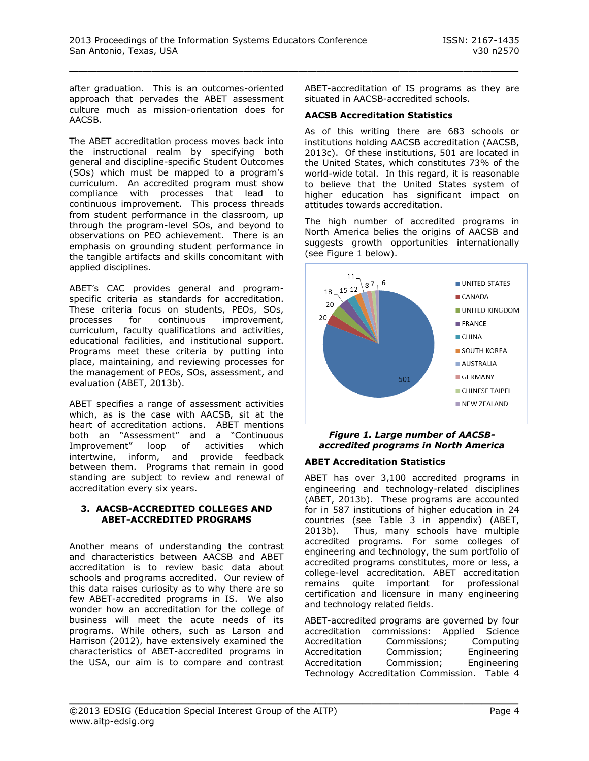after graduation. This is an outcomes-oriented approach that pervades the ABET assessment culture much as mission-orientation does for AACSB.

The ABET accreditation process moves back into the instructional realm by specifying both general and discipline-specific Student Outcomes (SOs) which must be mapped to a program's curriculum. An accredited program must show compliance with processes that lead to continuous improvement. This process threads from student performance in the classroom, up through the program-level SOs, and beyond to observations on PEO achievement. There is an emphasis on grounding student performance in the tangible artifacts and skills concomitant with applied disciplines.

ABET's CAC provides general and programspecific criteria as standards for accreditation. These criteria focus on students, PEOs, SOs, processes for continuous improvement. processes for continuous improvement, curriculum, faculty qualifications and activities, educational facilities, and institutional support. Programs meet these criteria by putting into place, maintaining, and reviewing processes for the management of PEOs, SOs, assessment, and evaluation (ABET, 2013b).

ABET specifies a range of assessment activities which, as is the case with AACSB, sit at the heart of accreditation actions. ABET mentions both an "Assessment" and a "Continuous Improvement" loop of activities which intertwine, inform, and provide feedback between them. Programs that remain in good standing are subject to review and renewal of accreditation every six years.

#### **3. AACSB-ACCREDITED COLLEGES AND ABET-ACCREDITED PROGRAMS**

Another means of understanding the contrast and characteristics between AACSB and ABET accreditation is to review basic data about schools and programs accredited. Our review of this data raises curiosity as to why there are so few ABET-accredited programs in IS. We also wonder how an accreditation for the college of business will meet the acute needs of its programs. While others, such as Larson and Harrison (2012), have extensively examined the characteristics of ABET-accredited programs in the USA, our aim is to compare and contrast

ABET-accreditation of IS programs as they are situated in AACSB-accredited schools.

## **AACSB Accreditation Statistics**

As of this writing there are 683 schools or institutions holding AACSB accreditation (AACSB, 2013c). Of these institutions, 501 are located in the United States, which constitutes 73% of the world-wide total. In this regard, it is reasonable to believe that the United States system of higher education has significant impact on attitudes towards accreditation.

The high number of accredited programs in North America belies the origins of AACSB and suggests growth opportunities internationally (see Figure 1 below).



#### *Figure 1. Large number of AACSBaccredited programs in North America*

#### **ABET Accreditation Statistics**

ABET has over 3,100 accredited programs in engineering and technology-related disciplines (ABET, 2013b). These programs are accounted for in 587 institutions of higher education in 24 countries (see Table 3 in appendix) (ABET, 2013b). Thus, many schools have multiple accredited programs. For some colleges of engineering and technology, the sum portfolio of accredited programs constitutes, more or less, a college-level accreditation. ABET accreditation remains quite important for professional certification and licensure in many engineering and technology related fields.

| ABET-accredited programs are governed by four |                                              |             |  |  |
|-----------------------------------------------|----------------------------------------------|-------------|--|--|
|                                               | accreditation commissions: Applied Science   |             |  |  |
| Accreditation                                 | Commissions;                                 | Computing   |  |  |
| Accreditation                                 | Commission;                                  | Engineering |  |  |
| Accreditation                                 | Commission;                                  | Engineering |  |  |
|                                               | Technology Accreditation Commission. Table 4 |             |  |  |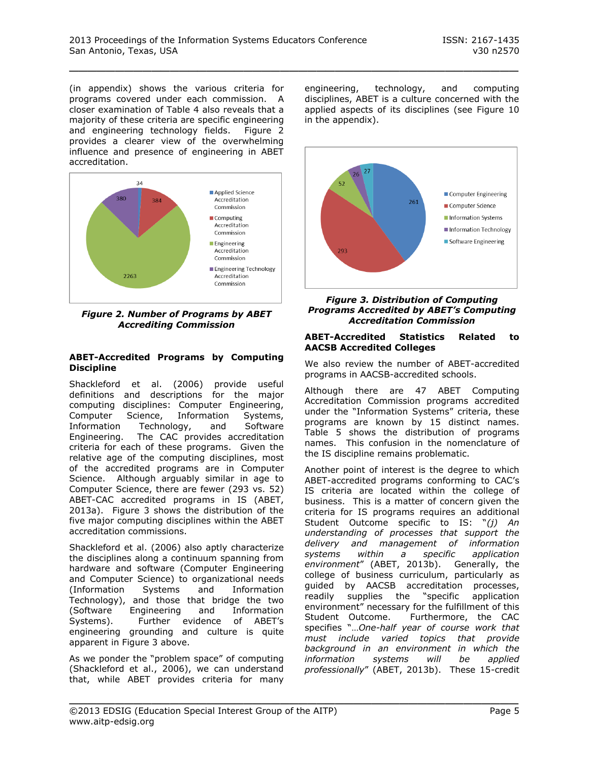(in appendix) shows the various criteria for programs covered under each commission. A closer examination of Table 4 also reveals that a majority of these criteria are specific engineering and engineering technology fields. Figure 2 provides a clearer view of the overwhelming influence and presence of engineering in ABET accreditation.



*Figure 2. Number of Programs by ABET Accrediting Commission*

## **ABET-Accredited Programs by Computing Discipline**

Shackleford et al. (2006) provide useful definitions and descriptions for the major computing disciplines: Computer Engineering, Computer Science, Information Systems, Information Technology, and Software Engineering. The CAC provides accreditation criteria for each of these programs. Given the relative age of the computing disciplines, most of the accredited programs are in Computer Science. Although arguably similar in age to Computer Science, there are fewer (293 vs. 52) ABET-CAC accredited programs in IS (ABET, 2013a). Figure 3 shows the distribution of the five major computing disciplines within the ABET accreditation commissions.

Shackleford et al. (2006) also aptly characterize the disciplines along a continuum spanning from hardware and software (Computer Engineering and Computer Science) to organizational needs<br>(Information Systems and Information (Information Systems and Information Technology), and those that bridge the two (Software Engineering and Information Systems). Further evidence of ABET's engineering grounding and culture is quite apparent in Figure 3 above.

As we ponder the "problem space" of computing (Shackleford et al., 2006), we can understand that, while ABET provides criteria for many engineering, technology, and computing disciplines, ABET is a culture concerned with the applied aspects of its disciplines (see Figure 10 in the appendix).



*Figure 3. Distribution of Computing Programs Accredited by ABET's Computing Accreditation Commission*

#### **ABET-Accredited Statistics Related to AACSB Accredited Colleges**

We also review the number of ABET-accredited programs in AACSB-accredited schools.

Although there are 47 ABET Computing Accreditation Commission programs accredited under the "Information Systems" criteria, these programs are known by 15 distinct names. Table 5 shows the distribution of programs names. This confusion in the nomenclature of the IS discipline remains problematic.

Another point of interest is the degree to which ABET-accredited programs conforming to CAC's IS criteria are located within the college of business. This is a matter of concern given the criteria for IS programs requires an additional Student Outcome specific to IS: "*(j) An understanding of processes that support the delivery and management of information systems within a specific application environment*" (ABET, 2013b). Generally, the college of business curriculum, particularly as guided by AACSB accreditation processes, readily supplies the "specific application environment" necessary for the fulfillment of this Student Outcome. Furthermore, the CAC specifies "…*One-half year of course work that must include varied topics that provide background in an environment in which the information systems will be applied professionally*" (ABET, 2013b). These 15-credit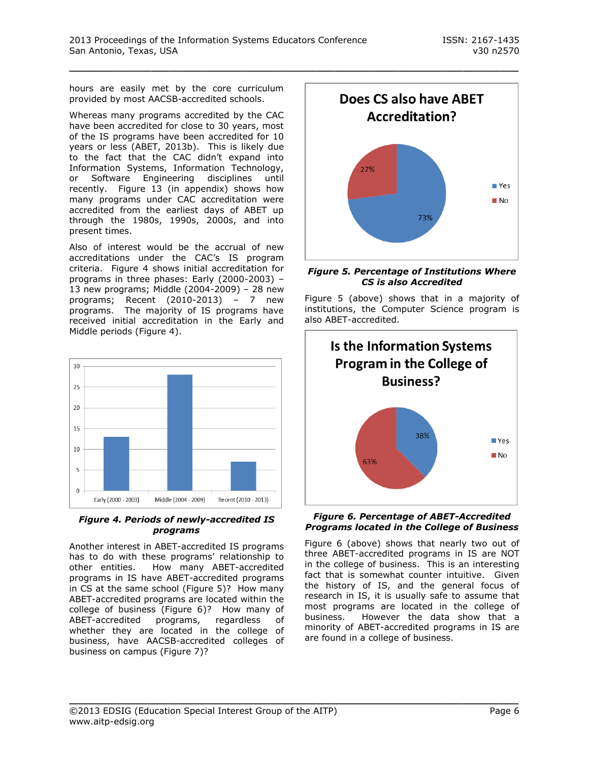hours are easily met by the core curriculum provided by most AACSB-accredited schools.

Whereas many programs accredited by the CAC have been accredited for close to 30 years, most of the IS programs have been accredited for 10 years or less (ABET, 2013b). This is likely due to the fact that the CAC didn't expand into Information Systems, Information Technology, or Software Engineering disciplines until recently. Figure 13 (in appendix) shows how many programs under CAC accreditation were accredited from the earliest days of ABET up through the 1980s, 1990s, 2000s, and into present times.

Also of interest would be the accrual of new accreditations under the CAC's IS program criteria. Figure 4 shows initial accreditation for programs in three phases: Early (2000-2003) – 13 new programs; Middle (2004-2009) – 28 new programs; Recent (2010-2013) – 7 new programs. The majority of IS programs have received initial accreditation in the Early and Middle periods (Figure 4).



#### *Figure 4. Periods of newly-accredited IS programs*

Another interest in ABET-accredited IS programs has to do with these programs' relationship to other entities. How many ABET-accredited programs in IS have ABET-accredited programs in CS at the same school (Figure 5)? How many ABET-accredited programs are located within the college of business (Figure 6)? How many of ABET-accredited programs, regardless of whether they are located in the college of business, have AACSB-accredited colleges of business on campus (Figure 7)?



#### *Figure 5. Percentage of Institutions Where CS is also Accredited*

Figure 5 (above) shows that in a majority of institutions, the Computer Science program is also ABET-accredited.



#### *Figure 6. Percentage of ABET-Accredited Programs located in the College of Business*

Figure 6 (above) shows that nearly two out of three ABET-accredited programs in IS are NOT in the college of business. This is an interesting fact that is somewhat counter intuitive. Given the history of IS, and the general focus of research in IS, it is usually safe to assume that most programs are located in the college of business. However the data show that a minority of ABET-accredited programs in IS are are found in a college of business.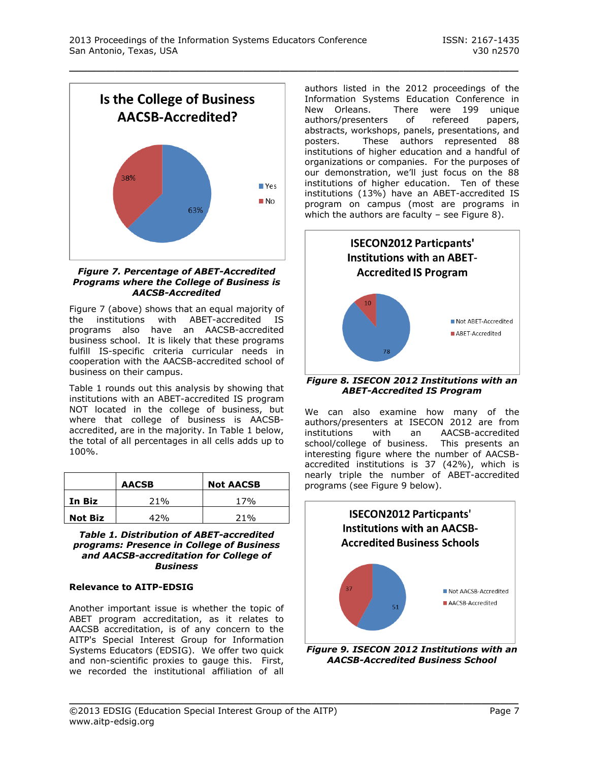

#### *Figure 7. Percentage of ABET-Accredited Programs where the College of Business is AACSB-Accredited*

Figure 7 (above) shows that an equal majority of the institutions with ABET-accredited IS programs also have an AACSB-accredited business school. It is likely that these programs fulfill IS-specific criteria curricular needs in cooperation with the AACSB-accredited school of business on their campus.

Table 1 rounds out this analysis by showing that institutions with an ABET-accredited IS program NOT located in the college of business, but where that college of business is AACSBaccredited, are in the majority. In Table 1 below, the total of all percentages in all cells adds up to 100%.

|                | <b>AACSB</b> | <b>Not AACSB</b> |
|----------------|--------------|------------------|
| In Biz         | 21%          | 17 <sub>%</sub>  |
| <b>Not Biz</b> | 42%          | 21%              |

*Table 1. Distribution of ABET-accredited programs: Presence in College of Business and AACSB-accreditation for College of Business*

# **Relevance to AITP-EDSIG**

Another important issue is whether the topic of ABET program accreditation, as it relates to AACSB accreditation, is of any concern to the AITP's Special Interest Group for Information Systems Educators (EDSIG). We offer two quick and non-scientific proxies to gauge this. First, we recorded the institutional affiliation of all

authors listed in the 2012 proceedings of the Information Systems Education Conference in New Orleans. There were 199 unique authors/presenters of refereed papers, abstracts, workshops, panels, presentations, and posters. These authors represented 88 institutions of higher education and a handful of organizations or companies. For the purposes of our demonstration, we'll just focus on the 88 institutions of higher education. Ten of these institutions (13%) have an ABET-accredited IS program on campus (most are programs in which the authors are faculty – see Figure 8).



*Figure 8. ISECON 2012 Institutions with an ABET-Accredited IS Program*

We can also examine how many of the authors/presenters at ISECON 2012 are from institutions with an AACSB-accredited school/college of business. This presents an interesting figure where the number of AACSBaccredited institutions is 37 (42%), which is nearly triple the number of ABET-accredited programs (see Figure 9 below).



*Figure 9. ISECON 2012 Institutions with an AACSB-Accredited Business School*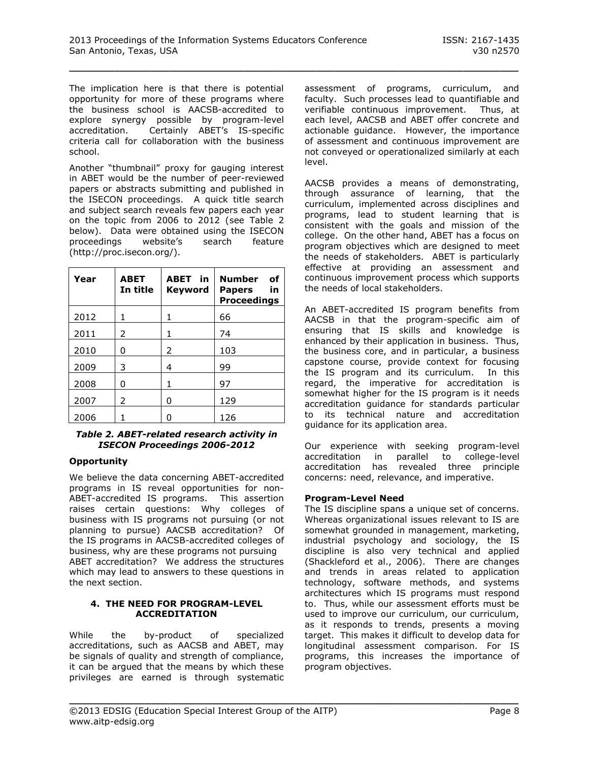The implication here is that there is potential opportunity for more of these programs where the business school is AACSB-accredited to explore synergy possible by program-level accreditation. Certainly ABET's IS-specific criteria call for collaboration with the business school.

Another "thumbnail" proxy for gauging interest in ABET would be the number of peer-reviewed papers or abstracts submitting and published in the ISECON proceedings. A quick title search and subject search reveals few papers each year on the topic from 2006 to 2012 (see Table 2 below). Data were obtained using the ISECON proceedings website's search feature (http://proc.isecon.org/).

| Year | <b>ABET</b><br>In title | ABET in<br>Keyword | <b>Number</b><br>οf<br>in<br><b>Papers</b><br><b>Proceedings</b> |
|------|-------------------------|--------------------|------------------------------------------------------------------|
| 2012 | 1                       | 1                  | 66                                                               |
| 2011 | 2                       | 1                  | 74                                                               |
| 2010 | 0                       | 2                  | 103                                                              |
| 2009 | 3                       | 4                  | 99                                                               |
| 2008 | 0                       | 1                  | 97                                                               |
| 2007 | 2                       | 0                  | 129                                                              |
| 2006 |                         | n                  | 126                                                              |

#### *Table 2. ABET-related research activity in ISECON Proceedings 2006-2012*

# **Opportunity**

We believe the data concerning ABET-accredited programs in IS reveal opportunities for non-ABET-accredited IS programs. This assertion raises certain questions: Why colleges of business with IS programs not pursuing (or not planning to pursue) AACSB accreditation? Of the IS programs in AACSB-accredited colleges of business, why are these programs not pursuing ABET accreditation? We address the structures which may lead to answers to these questions in the next section.

#### **4. THE NEED FOR PROGRAM-LEVEL ACCREDITATION**

While the by-product of specialized accreditations, such as AACSB and ABET, may be signals of quality and strength of compliance, it can be argued that the means by which these privileges are earned is through systematic assessment of programs, curriculum, and faculty. Such processes lead to quantifiable and verifiable continuous improvement. Thus, at each level, AACSB and ABET offer concrete and actionable guidance. However, the importance of assessment and continuous improvement are not conveyed or operationalized similarly at each level.

AACSB provides a means of demonstrating, through assurance of learning, that the curriculum, implemented across disciplines and programs, lead to student learning that is consistent with the goals and mission of the college. On the other hand, ABET has a focus on program objectives which are designed to meet the needs of stakeholders. ABET is particularly effective at providing an assessment and continuous improvement process which supports the needs of local stakeholders.

An ABET-accredited IS program benefits from AACSB in that the program-specific aim of ensuring that IS skills and knowledge is enhanced by their application in business. Thus, the business core, and in particular, a business capstone course, provide context for focusing the IS program and its curriculum. In this regard, the imperative for accreditation is somewhat higher for the IS program is it needs accreditation guidance for standards particular to its technical nature and accreditation guidance for its application area.

Our experience with seeking program-level accreditation in parallel to college-level accreditation has revealed three principle concerns: need, relevance, and imperative.

# **Program-Level Need**

The IS discipline spans a unique set of concerns. Whereas organizational issues relevant to IS are somewhat grounded in management, marketing, industrial psychology and sociology, the IS discipline is also very technical and applied (Shackleford et al., 2006). There are changes and trends in areas related to application technology, software methods, and systems architectures which IS programs must respond to. Thus, while our assessment efforts must be used to improve our curriculum, our curriculum, as it responds to trends, presents a moving target. This makes it difficult to develop data for longitudinal assessment comparison. For IS programs, this increases the importance of program objectives.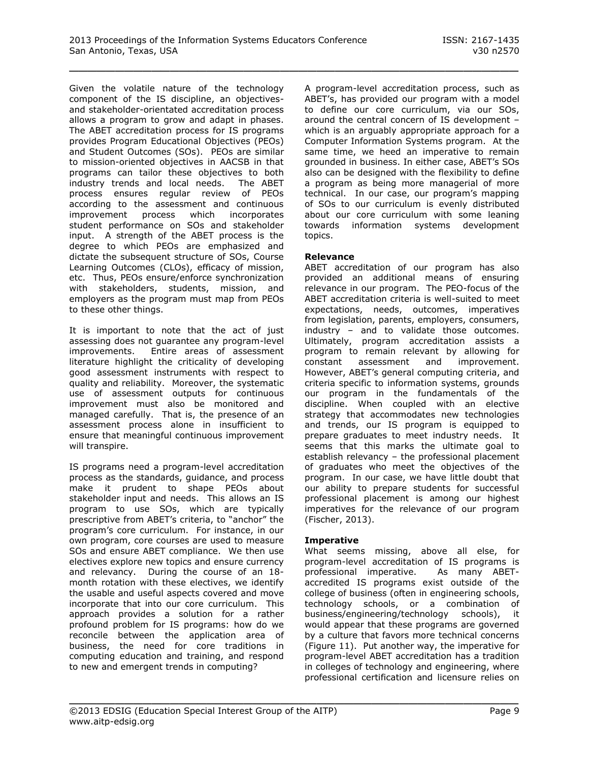Given the volatile nature of the technology component of the IS discipline, an objectivesand stakeholder-orientated accreditation process allows a program to grow and adapt in phases. The ABET accreditation process for IS programs provides Program Educational Objectives (PEOs) and Student Outcomes (SOs). PEOs are similar to mission-oriented objectives in AACSB in that programs can tailor these objectives to both industry trends and local needs. The ABET process ensures regular review of PEOs according to the assessment and continuous improvement process which incorporates student performance on SOs and stakeholder input. A strength of the ABET process is the degree to which PEOs are emphasized and dictate the subsequent structure of SOs, Course Learning Outcomes (CLOs), efficacy of mission, etc. Thus, PEOs ensure/enforce synchronization with stakeholders, students, mission, and employers as the program must map from PEOs to these other things.

It is important to note that the act of just assessing does not guarantee any program-level improvements. Entire areas of assessment literature highlight the criticality of developing good assessment instruments with respect to quality and reliability. Moreover, the systematic use of assessment outputs for continuous improvement must also be monitored and managed carefully. That is, the presence of an assessment process alone in insufficient to ensure that meaningful continuous improvement will transpire.

IS programs need a program-level accreditation process as the standards, guidance, and process make it prudent to shape PEOs about stakeholder input and needs. This allows an IS program to use SOs, which are typically prescriptive from ABET's criteria, to "anchor" the program's core curriculum. For instance, in our own program, core courses are used to measure SOs and ensure ABET compliance. We then use electives explore new topics and ensure currency and relevancy. During the course of an 18 month rotation with these electives, we identify the usable and useful aspects covered and move incorporate that into our core curriculum. This approach provides a solution for a rather profound problem for IS programs: how do we reconcile between the application area of business, the need for core traditions in computing education and training, and respond to new and emergent trends in computing?

A program-level accreditation process, such as ABET's, has provided our program with a model to define our core curriculum, via our SOs, around the central concern of IS development – which is an arguably appropriate approach for a Computer Information Systems program. At the same time, we heed an imperative to remain grounded in business. In either case, ABET's SOs also can be designed with the flexibility to define a program as being more managerial of more technical. In our case, our program's mapping of SOs to our curriculum is evenly distributed about our core curriculum with some leaning towards information systems development topics.

# **Relevance**

\_\_\_\_\_\_\_\_\_\_\_\_\_\_\_\_\_\_\_\_\_\_\_\_\_\_\_\_\_\_\_\_\_\_\_\_\_\_\_\_\_\_\_\_\_\_\_\_\_

ABET accreditation of our program has also provided an additional means of ensuring relevance in our program. The PEO-focus of the ABET accreditation criteria is well-suited to meet expectations, needs, outcomes, imperatives from legislation, parents, employers, consumers, industry – and to validate those outcomes. Ultimately, program accreditation assists a program to remain relevant by allowing for constant assessment and improvement. However, ABET's general computing criteria, and criteria specific to information systems, grounds our program in the fundamentals of the discipline. When coupled with an elective strategy that accommodates new technologies and trends, our IS program is equipped to prepare graduates to meet industry needs. It seems that this marks the ultimate goal to establish relevancy – the professional placement of graduates who meet the objectives of the program. In our case, we have little doubt that our ability to prepare students for successful professional placement is among our highest imperatives for the relevance of our program (Fischer, 2013).

# **Imperative**

\_\_\_\_\_\_\_\_\_\_\_\_\_\_\_\_\_\_\_\_\_\_\_\_\_\_\_\_\_\_\_\_\_\_\_\_\_\_\_\_\_\_\_\_\_\_\_\_\_

What seems missing, above all else, for program-level accreditation of IS programs is professional imperative. As many ABETaccredited IS programs exist outside of the college of business (often in engineering schools, technology schools, or a combination of business/engineering/technology schools), it would appear that these programs are governed by a culture that favors more technical concerns (Figure 11). Put another way, the imperative for program-level ABET accreditation has a tradition in colleges of technology and engineering, where professional certification and licensure relies on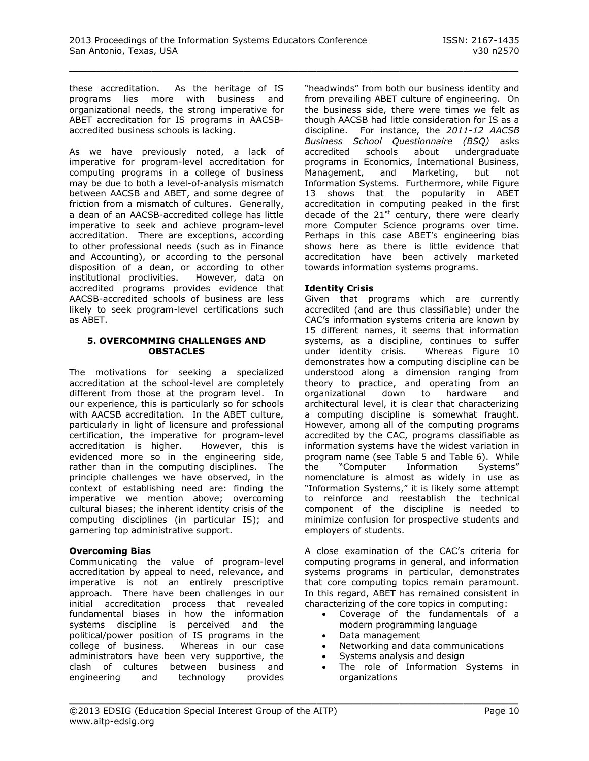these accreditation. As the heritage of IS programs lies more with business and organizational needs, the strong imperative for ABET accreditation for IS programs in AACSBaccredited business schools is lacking.

As we have previously noted, a lack of imperative for program-level accreditation for computing programs in a college of business may be due to both a level-of-analysis mismatch between AACSB and ABET, and some degree of friction from a mismatch of cultures. Generally, a dean of an AACSB-accredited college has little imperative to seek and achieve program-level accreditation. There are exceptions, according to other professional needs (such as in Finance and Accounting), or according to the personal disposition of a dean, or according to other institutional proclivities. However, data on accredited programs provides evidence that AACSB-accredited schools of business are less likely to seek program-level certifications such as ABET.

#### **5. OVERCOMMING CHALLENGES AND OBSTACLES**

The motivations for seeking a specialized accreditation at the school-level are completely different from those at the program level. In our experience, this is particularly so for schools with AACSB accreditation. In the ABET culture, particularly in light of licensure and professional certification, the imperative for program-level accreditation is higher. However, this is evidenced more so in the engineering side, rather than in the computing disciplines. The principle challenges we have observed, in the context of establishing need are: finding the imperative we mention above; overcoming cultural biases; the inherent identity crisis of the computing disciplines (in particular IS); and garnering top administrative support.

# **Overcoming Bias**

Communicating the value of program-level accreditation by appeal to need, relevance, and imperative is not an entirely prescriptive approach. There have been challenges in our initial accreditation process that revealed fundamental biases in how the information systems discipline is perceived and the political/power position of IS programs in the college of business. Whereas in our case administrators have been very supportive, the clash of cultures between business and engineering and technology provides

"headwinds" from both our business identity and from prevailing ABET culture of engineering. On the business side, there were times we felt as though AACSB had little consideration for IS as a discipline. For instance, the *2011-12 AACSB Business School Questionnaire (BSQ)* asks accredited schools about undergraduate programs in Economics, International Business, Management, and Marketing, but not Information Systems. Furthermore, while Figure 13 shows that the popularity in ABET accreditation in computing peaked in the first decade of the  $21<sup>st</sup>$  century, there were clearly more Computer Science programs over time. Perhaps in this case ABET's engineering bias shows here as there is little evidence that accreditation have been actively marketed towards information systems programs.

# **Identity Crisis**

Given that programs which are currently accredited (and are thus classifiable) under the CAC's information systems criteria are known by 15 different names, it seems that information systems, as a discipline, continues to suffer under identity crisis. Whereas Figure 10 demonstrates how a computing discipline can be understood along a dimension ranging from theory to practice, and operating from an organizational down to hardware and architectural level, it is clear that characterizing a computing discipline is somewhat fraught. However, among all of the computing programs accredited by the CAC, programs classifiable as information systems have the widest variation in program name (see Table 5 and Table 6). While the "Computer Information Systems" nomenclature is almost as widely in use as "Information Systems," it is likely some attempt to reinforce and reestablish the technical component of the discipline is needed to minimize confusion for prospective students and employers of students.

A close examination of the CAC's criteria for computing programs in general, and information systems programs in particular, demonstrates that core computing topics remain paramount. In this regard, ABET has remained consistent in characterizing of the core topics in computing:

- Coverage of the fundamentals of a modern programming language
- Data management

- Networking and data communications
- Systems analysis and design
- The role of Information Systems in organizations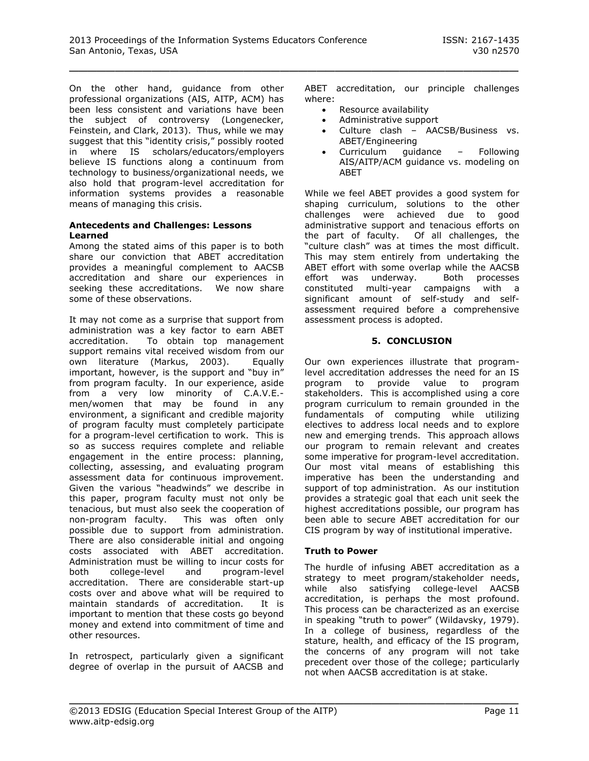On the other hand, guidance from other professional organizations (AIS, AITP, ACM) has been less consistent and variations have been the subject of controversy (Longenecker, Feinstein, and Clark, 2013). Thus, while we may suggest that this "identity crisis," possibly rooted in where IS scholars/educators/employers believe IS functions along a continuum from technology to business/organizational needs, we also hold that program-level accreditation for information systems provides a reasonable means of managing this crisis.

#### **Antecedents and Challenges: Lessons Learned**

Among the stated aims of this paper is to both share our conviction that ABET accreditation provides a meaningful complement to AACSB accreditation and share our experiences in seeking these accreditations. We now share some of these observations.

It may not come as a surprise that support from administration was a key factor to earn ABET accreditation. To obtain top management support remains vital received wisdom from our own literature (Markus, 2003). Equally important, however, is the support and "buy in" from program faculty. In our experience, aside from a very low minority of C.A.V.E. men/women that may be found in any environment, a significant and credible majority of program faculty must completely participate for a program-level certification to work. This is so as success requires complete and reliable engagement in the entire process: planning, collecting, assessing, and evaluating program assessment data for continuous improvement. Given the various "headwinds" we describe in this paper, program faculty must not only be tenacious, but must also seek the cooperation of non-program faculty. This was often only possible due to support from administration. There are also considerable initial and ongoing costs associated with ABET accreditation. Administration must be willing to incur costs for<br>both college-level and program-level both college-level and accreditation. There are considerable start-up costs over and above what will be required to maintain standards of accreditation. It is important to mention that these costs go beyond money and extend into commitment of time and other resources.

In retrospect, particularly given a significant degree of overlap in the pursuit of AACSB and ABET accreditation, our principle challenges where:

- Resource availability
- Administrative support
- Culture clash AACSB/Business vs. ABET/Engineering
- Curriculum guidance Following AIS/AITP/ACM guidance vs. modeling on ABET

While we feel ABET provides a good system for shaping curriculum, solutions to the other challenges were achieved due to good administrative support and tenacious efforts on the part of faculty. Of all challenges, the "culture clash" was at times the most difficult. This may stem entirely from undertaking the ABET effort with some overlap while the AACSB effort was underway. Both processes constituted multi-year campaigns with a significant amount of self-study and selfassessment required before a comprehensive assessment process is adopted.

# **5. CONCLUSION**

Our own experiences illustrate that programlevel accreditation addresses the need for an IS program to provide value to program stakeholders. This is accomplished using a core program curriculum to remain grounded in the fundamentals of computing while utilizing electives to address local needs and to explore new and emerging trends. This approach allows our program to remain relevant and creates some imperative for program-level accreditation. Our most vital means of establishing this imperative has been the understanding and support of top administration. As our institution provides a strategic goal that each unit seek the highest accreditations possible, our program has been able to secure ABET accreditation for our CIS program by way of institutional imperative.

# **Truth to Power**

The hurdle of infusing ABET accreditation as a strategy to meet program/stakeholder needs, while also satisfying college-level AACSB accreditation, is perhaps the most profound. This process can be characterized as an exercise in speaking "truth to power" (Wildavsky, 1979). In a college of business, regardless of the stature, health, and efficacy of the IS program, the concerns of any program will not take precedent over those of the college; particularly not when AACSB accreditation is at stake.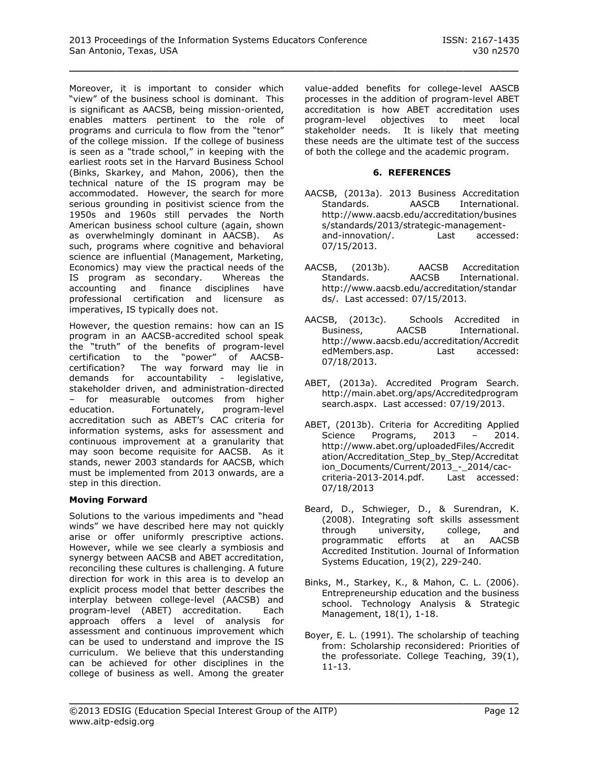Moreover, it is important to consider which "view" of the business school is dominant. This is significant as AACSB, being mission-oriented, enables matters pertinent to the role of programs and curricula to flow from the "tenor" of the college mission. If the college of business is seen as a "trade school," in keeping with the earliest roots set in the Harvard Business School (Binks, Skarkey, and Mahon, 2006), then the technical nature of the IS program may be accommodated. However, the search for more serious grounding in positivist science from the 1950s and 1960s still pervades the North American business school culture (again, shown as overwhelmingly dominant in AACSB). As such, programs where cognitive and behavioral science are influential (Management, Marketing, Economics) may view the practical needs of the IS program as secondary. Whereas the accounting and finance disciplines have professional certification and licensure as imperatives, IS typically does not.

However, the question remains: how can an IS program in an AACSB-accredited school speak the "truth" of the benefits of program-level certification to the "power" of AACSBcertification? The way forward may lie in demands for accountability - legislative, stakeholder driven, and administration-directed – for measurable outcomes from higher education. Fortunately, program-level accreditation such as ABET's CAC criteria for information systems, asks for assessment and continuous improvement at a granularity that may soon become requisite for AACSB. As it stands, newer 2003 standards for AACSB, which must be implemented from 2013 onwards, are a step in this direction.

# **Moving Forward**

Solutions to the various impediments and "head winds" we have described here may not quickly arise or offer uniformly prescriptive actions. However, while we see clearly a symbiosis and synergy between AACSB and ABET accreditation, reconciling these cultures is challenging. A future direction for work in this area is to develop an explicit process model that better describes the interplay between college-level (AACSB) and program-level (ABET) accreditation. Each approach offers a level of analysis for assessment and continuous improvement which can be used to understand and improve the IS curriculum. We believe that this understanding can be achieved for other disciplines in the college of business as well. Among the greater

value-added benefits for college-level AASCB processes in the addition of program-level ABET accreditation is how ABET accreditation uses program-level objectives to meet local stakeholder needs. It is likely that meeting these needs are the ultimate test of the success of both the college and the academic program.

## **6. REFERENCES**

- AACSB, (2013a). 2013 Business Accreditation Standards. AASCB International. [http://www.aacsb.edu/accreditation/busines](http://www.aacsb.edu/accreditation/business/standards/2013/strategic-management-and-innovation/) [s/standards/2013/strategic-management](http://www.aacsb.edu/accreditation/business/standards/2013/strategic-management-and-innovation/)[and-innovation/.](http://www.aacsb.edu/accreditation/business/standards/2013/strategic-management-and-innovation/) Last accessed: 07/15/2013.
- AACSB, (2013b). AACSB Accreditation Standards. AACSB International. [http://www.aacsb.edu/accreditation/standar](http://www.aacsb.edu/accreditation/standards/) [ds/.](http://www.aacsb.edu/accreditation/standards/) Last accessed: 07/15/2013.
- AACSB, (2013c). Schools Accredited in Business, AACSB International. [http://www.aacsb.edu/accreditation/Accredit](http://www.aacsb.edu/accreditation/AccreditedMembers.asp) [edMembers.asp.](http://www.aacsb.edu/accreditation/AccreditedMembers.asp) Last accessed: 07/18/2013.
- ABET, (2013a). Accredited Program Search. [http://main.abet.org/aps/Accreditedprogram](http://main.abet.org/aps/Accreditedprogramsearch.aspx) [search.aspx.](http://main.abet.org/aps/Accreditedprogramsearch.aspx) Last accessed: 07/19/2013.
- ABET, (2013b). Criteria for Accrediting Applied Science Programs, 2013 - 2014. [http://www.abet.org/uploadedFiles/Accredit](http://www.abet.org/uploadedFiles/Accreditation/Accreditation_Step_by_Step/Accreditation_Documents/Current/2013_-_2014/cac-criteria-2013-2014.pdf) ation/Accreditation Step by Step/Accreditat [ion\\_Documents/Current/2013\\_-\\_2014/cac](http://www.abet.org/uploadedFiles/Accreditation/Accreditation_Step_by_Step/Accreditation_Documents/Current/2013_-_2014/cac-criteria-2013-2014.pdf)[criteria-2013-2014.pdf.](http://www.abet.org/uploadedFiles/Accreditation/Accreditation_Step_by_Step/Accreditation_Documents/Current/2013_-_2014/cac-criteria-2013-2014.pdf) Last accessed: 07/18/2013
- Beard, D., Schwieger, D., & Surendran, K. (2008). Integrating soft skills assessment through university, college, and programmatic efforts at an AACSB Accredited Institution. Journal of Information Systems Education, 19(2), 229-240.
- Binks, M., Starkey, K., & Mahon, C. L. (2006). Entrepreneurship education and the business school. Technology Analysis & Strategic Management, 18(1), 1-18.
- Boyer, E. L. (1991). The scholarship of teaching from: Scholarship reconsidered: Priorities of the professoriate. College Teaching, 39(1), 11-13.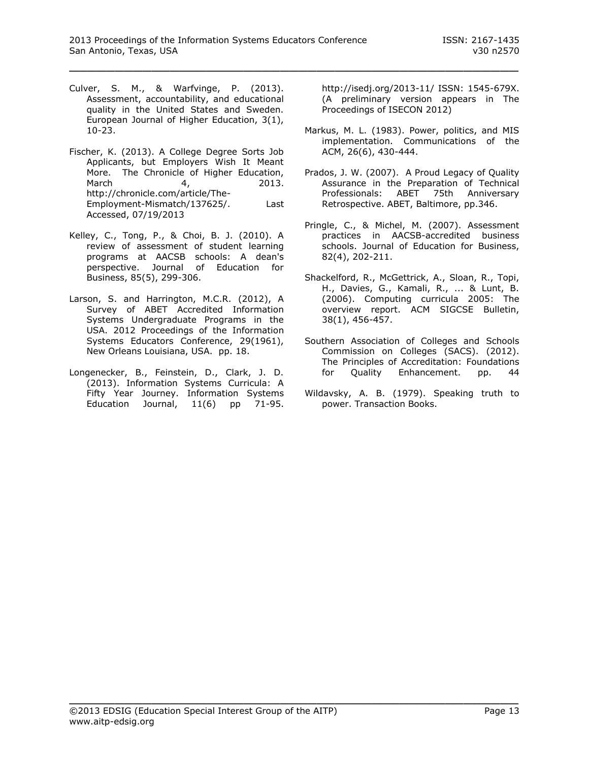- Culver, S. M., & Warfvinge, P. (2013). Assessment, accountability, and educational quality in the United States and Sweden. European Journal of Higher Education, 3(1), 10-23.
- Fischer, K. (2013). A College Degree Sorts Job Applicants, but Employers Wish It Meant More. The Chronicle of Higher Education, March 4, 2013. [http://chronicle.com/article/The-](http://chronicle.com/article/The-Employment-Mismatch/137625/)[Employment-Mismatch/137625/.](http://chronicle.com/article/The-Employment-Mismatch/137625/) Last Accessed, 07/19/2013
- Kelley, C., Tong, P., & Choi, B. J. (2010). A review of assessment of student learning programs at AACSB schools: A dean's perspective. Journal of Education for Business, 85(5), 299-306.
- Larson, S. and Harrington, M.C.R. (2012), A Survey of ABET Accredited Information Systems Undergraduate Programs in the USA. 2012 Proceedings of the Information Systems Educators Conference, 29(1961), New Orleans Louisiana, USA. pp. 18.
- Longenecker, B., Feinstein, D., Clark, J. D. (2013). Information Systems Curricula: A Fifty Year Journey. Information Systems Education Journal, 11(6) pp 71-95.

http://isedj.org/2013-11/ ISSN: 1545-679X. (A preliminary version appears in The Proceedings of ISECON 2012)

- Markus, M. L. (1983). Power, politics, and MIS implementation. Communications of the ACM, 26(6), 430-444.
- Prados, J. W. (2007). A Proud Legacy of Quality Assurance in the Preparation of Technical Professionals: ABET 75th Anniversary Retrospective. ABET, Baltimore, pp.346.
- Pringle, C., & Michel, M. (2007). Assessment practices in AACSB-accredited business schools. Journal of Education for Business, 82(4), 202-211.
- Shackelford, R., McGettrick, A., Sloan, R., Topi, H., Davies, G., Kamali, R., ... & Lunt, B. (2006). Computing curricula 2005: The overview report. ACM SIGCSE Bulletin, 38(1), 456-457.
- Southern Association of Colleges and Schools Commission on Colleges (SACS). (2012). The Principles of Accreditation: Foundations for Quality Enhancement. pp. 44
- Wildavsky, A. B. (1979). Speaking truth to power. Transaction Books.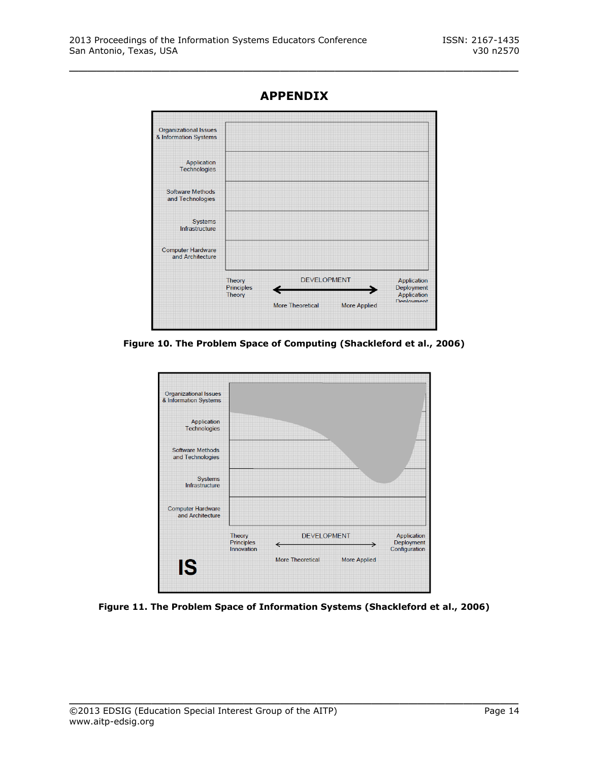

**APPENDIX**

\_\_\_\_\_\_\_\_\_\_\_\_\_\_\_\_\_\_\_\_\_\_\_\_\_\_\_\_\_\_\_\_\_\_\_\_\_\_\_\_\_\_\_\_\_\_\_\_\_

**Figure 10. The Problem Space of Computing (Shackleford et al., 2006)**



**Figure 11. The Problem Space of Information Systems (Shackleford et al., 2006)**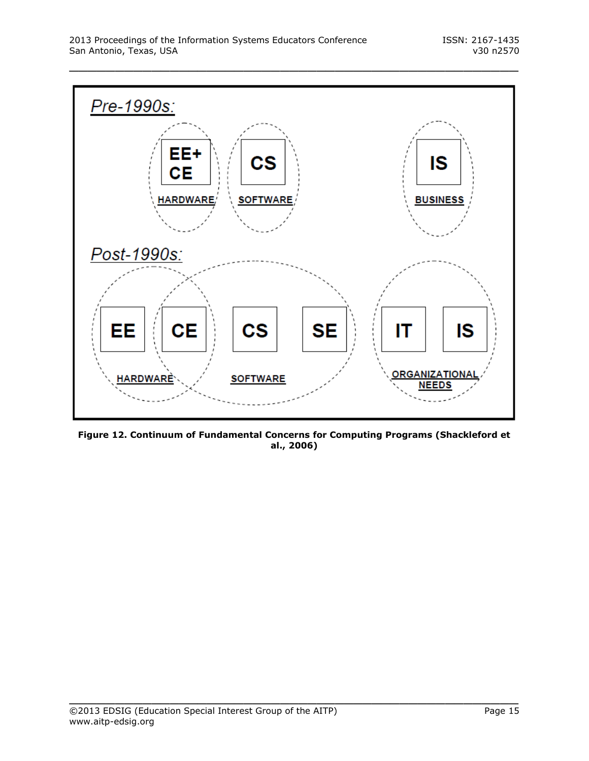

**Figure 12. Continuum of Fundamental Concerns for Computing Programs (Shackleford et al., 2006)**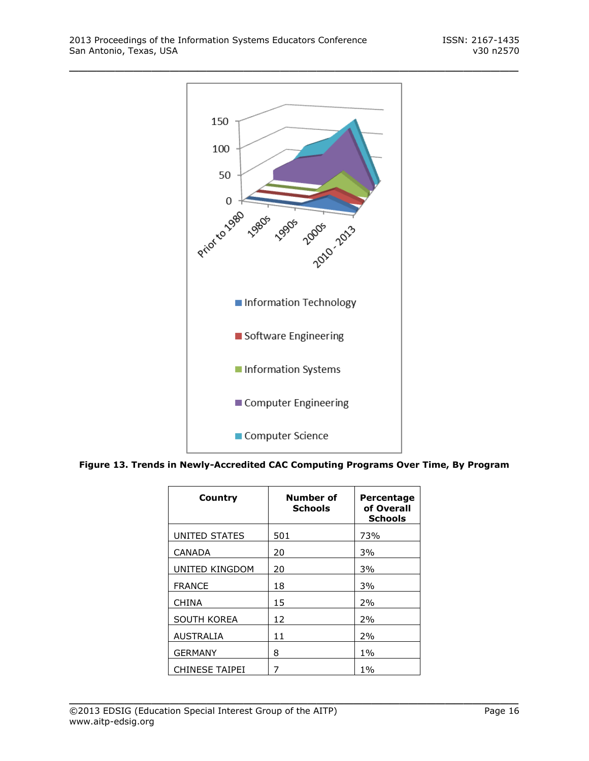

| Country               | Number of<br><b>Schools</b> | Percentage<br>of Overall<br><b>Schools</b> |
|-----------------------|-----------------------------|--------------------------------------------|
| UNITED STATES         | 501                         | 73%                                        |
| <b>CANADA</b>         | 20                          | 3%                                         |
| UNITED KINGDOM        | 20                          | 3%                                         |
| <b>FRANCE</b>         | 18                          | 3%                                         |
| <b>CHINA</b>          | 15                          | 2%                                         |
| <b>SOUTH KOREA</b>    | 12                          | 2%                                         |
| <b>AUSTRALIA</b>      | 11                          | 2%                                         |
| <b>GERMANY</b>        | 8                           | $1\%$                                      |
| <b>CHINESE TAIPEI</b> | 7                           | $1\%$                                      |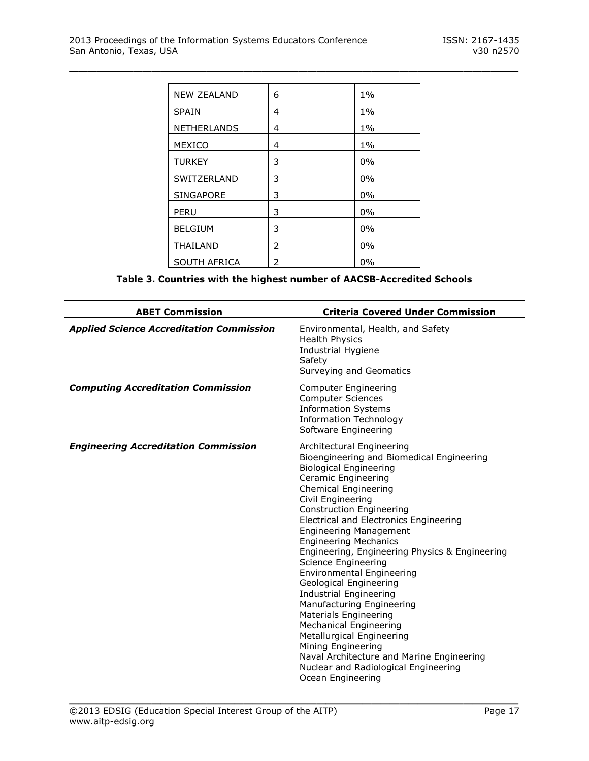| <b>NEW ZEALAND</b>  | 6 | $1\%$ |
|---------------------|---|-------|
| <b>SPAIN</b>        | 4 | $1\%$ |
| <b>NETHERLANDS</b>  | 4 | $1\%$ |
| <b>MEXICO</b>       | 4 | 1%    |
| <b>TURKEY</b>       | 3 | 0%    |
| SWITZERLAND         | 3 | 0%    |
| <b>SINGAPORE</b>    | 3 | 0%    |
| PERU                | 3 | 0%    |
| <b>BELGIUM</b>      | 3 | 0%    |
| <b>THAILAND</b>     | 2 | $0\%$ |
| <b>SOUTH AFRICA</b> | 2 | 0%    |

**Table 3. Countries with the highest number of AACSB-Accredited Schools**

| <b>ABET Commission</b>                          | <b>Criteria Covered Under Commission</b>                                                                                                                                                                                                                                                                                                                                                                                                                                                                                                                                                                                                                                                                                                                     |
|-------------------------------------------------|--------------------------------------------------------------------------------------------------------------------------------------------------------------------------------------------------------------------------------------------------------------------------------------------------------------------------------------------------------------------------------------------------------------------------------------------------------------------------------------------------------------------------------------------------------------------------------------------------------------------------------------------------------------------------------------------------------------------------------------------------------------|
| <b>Applied Science Accreditation Commission</b> | Environmental, Health, and Safety<br><b>Health Physics</b><br><b>Industrial Hygiene</b><br>Safety<br>Surveying and Geomatics                                                                                                                                                                                                                                                                                                                                                                                                                                                                                                                                                                                                                                 |
| <b>Computing Accreditation Commission</b>       | Computer Engineering<br><b>Computer Sciences</b><br><b>Information Systems</b><br><b>Information Technology</b><br>Software Engineering                                                                                                                                                                                                                                                                                                                                                                                                                                                                                                                                                                                                                      |
| <b>Engineering Accreditation Commission</b>     | Architectural Engineering<br>Bioengineering and Biomedical Engineering<br><b>Biological Engineering</b><br>Ceramic Engineering<br><b>Chemical Engineering</b><br>Civil Engineering<br><b>Construction Engineering</b><br>Electrical and Electronics Engineering<br><b>Engineering Management</b><br><b>Engineering Mechanics</b><br>Engineering, Engineering Physics & Engineering<br>Science Engineering<br><b>Environmental Engineering</b><br>Geological Engineering<br><b>Industrial Engineering</b><br>Manufacturing Engineering<br>Materials Engineering<br><b>Mechanical Engineering</b><br>Metallurgical Engineering<br>Mining Engineering<br>Naval Architecture and Marine Engineering<br>Nuclear and Radiological Engineering<br>Ocean Engineering |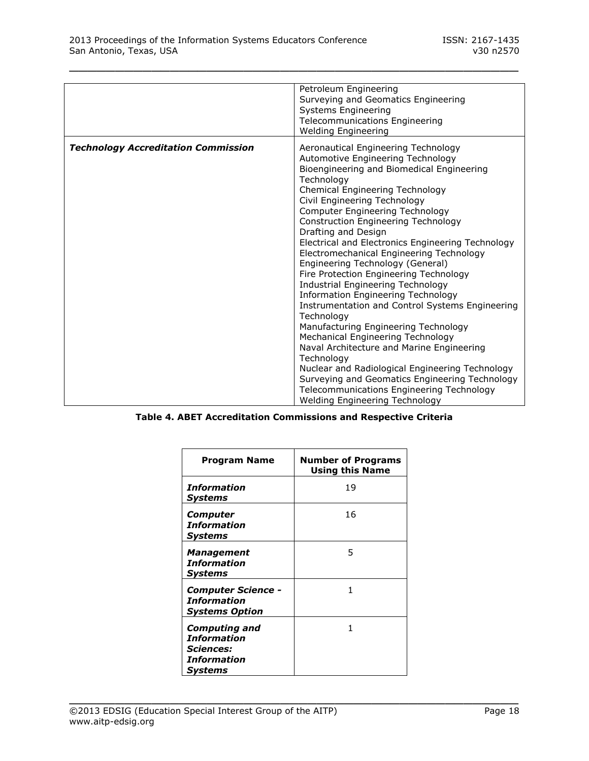|                                            | Petroleum Engineering<br>Surveying and Geomatics Engineering<br><b>Systems Engineering</b><br>Telecommunications Engineering<br><b>Welding Engineering</b>                                                                                                                                                                                                                                                                                                                                                                                                                                                                                                                                                                                                                                                                                                                                                                                                                                 |
|--------------------------------------------|--------------------------------------------------------------------------------------------------------------------------------------------------------------------------------------------------------------------------------------------------------------------------------------------------------------------------------------------------------------------------------------------------------------------------------------------------------------------------------------------------------------------------------------------------------------------------------------------------------------------------------------------------------------------------------------------------------------------------------------------------------------------------------------------------------------------------------------------------------------------------------------------------------------------------------------------------------------------------------------------|
| <b>Technology Accreditation Commission</b> | Aeronautical Engineering Technology<br>Automotive Engineering Technology<br>Bioengineering and Biomedical Engineering<br>Technology<br>Chemical Engineering Technology<br>Civil Engineering Technology<br><b>Computer Engineering Technology</b><br><b>Construction Engineering Technology</b><br>Drafting and Design<br>Electrical and Electronics Engineering Technology<br>Electromechanical Engineering Technology<br>Engineering Technology (General)<br>Fire Protection Engineering Technology<br><b>Industrial Engineering Technology</b><br><b>Information Engineering Technology</b><br>Instrumentation and Control Systems Engineering<br>Technology<br>Manufacturing Engineering Technology<br>Mechanical Engineering Technology<br>Naval Architecture and Marine Engineering<br>Technology<br>Nuclear and Radiological Engineering Technology<br>Surveying and Geomatics Engineering Technology<br>Telecommunications Engineering Technology<br>Welding Engineering Technology |

**Table 4. ABET Accreditation Commissions and Respective Criteria**

| <b>Program Name</b>                                                                      | <b>Number of Programs</b><br><b>Using this Name</b> |
|------------------------------------------------------------------------------------------|-----------------------------------------------------|
| <i><b>Information</b></i><br><b>Systems</b>                                              | 19                                                  |
| <b>Computer</b><br><i><b>Information</b></i><br><b>Systems</b>                           | 16                                                  |
| <b>Management</b><br><b>Information</b><br><b>Systems</b>                                | 5                                                   |
| <b>Computer Science -</b><br><i><b>Information</b></i><br><b>Systems Option</b>          | 1                                                   |
| <b>Computing and</b><br><b>Information</b><br><b>Sciences:</b><br>Information<br>Systems | 1                                                   |